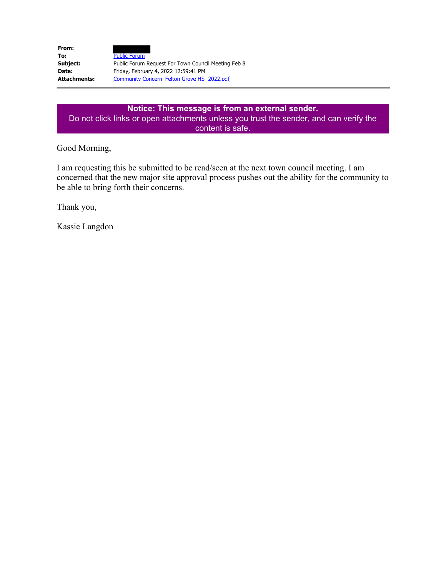| From:        |                                                     |
|--------------|-----------------------------------------------------|
| To:          | <b>Public Forum</b>                                 |
| Subject:     | Public Forum Request For Town Council Meeting Feb 8 |
| Date:        | Friday, February 4, 2022 12:59:41 PM                |
| Attachments: | Community Concern Felton Grove HS- 2022.pdf         |

## **Notice: This message is from an external sender.** Do not click links or open attachments unless you trust the sender, and can verify the content is safe.

Good Morning,

I am requesting this be submitted to be read/seen at the next town council meeting. I am concerned that the new major site approval process pushes out the ability for the community to be able to bring forth their concerns.

Thank you,

Kassie Langdon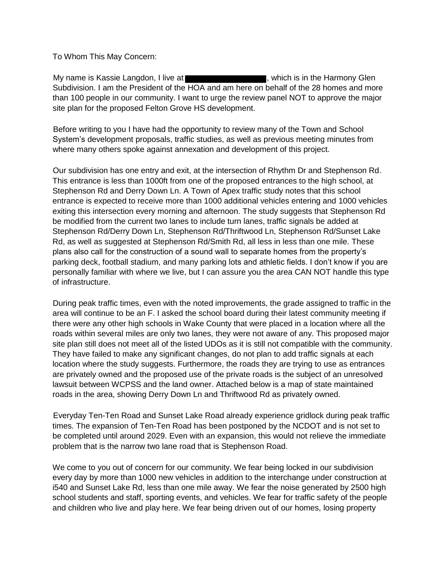To Whom This May Concern:

My name is Kassie Langdon, I live at **All and Contain the Harmony Glen**, which is in the Harmony Glen Subdivision. I am the President of the HOA and am here on behalf of the 28 homes and more than 100 people in our community. I want to urge the review panel NOT to approve the major site plan for the proposed Felton Grove HS development.

Before writing to you I have had the opportunity to review many of the Town and School System's development proposals, traffic studies, as well as previous meeting minutes from where many others spoke against annexation and development of this project.

Our subdivision has one entry and exit, at the intersection of Rhythm Dr and Stephenson Rd. This entrance is less than 1000ft from one of the proposed entrances to the high school, at Stephenson Rd and Derry Down Ln. A Town of Apex traffic study notes that this school entrance is expected to receive more than 1000 additional vehicles entering and 1000 vehicles exiting this intersection every morning and afternoon. The study suggests that Stephenson Rd be modified from the current two lanes to include turn lanes, traffic signals be added at Stephenson Rd/Derry Down Ln, Stephenson Rd/Thriftwood Ln, Stephenson Rd/Sunset Lake Rd, as well as suggested at Stephenson Rd/Smith Rd, all less in less than one mile. These plans also call for the construction of a sound wall to separate homes from the property's parking deck, football stadium, and many parking lots and athletic fields. I don't know if you are personally familiar with where we live, but I can assure you the area CAN NOT handle this type of infrastructure.

During peak traffic times, even with the noted improvements, the grade assigned to traffic in the area will continue to be an F. I asked the school board during their latest community meeting if there were any other high schools in Wake County that were placed in a location where all the roads within several miles are only two lanes, they were not aware of any. This proposed major site plan still does not meet all of the listed UDOs as it is still not compatible with the community. They have failed to make any significant changes, do not plan to add traffic signals at each location where the study suggests. Furthermore, the roads they are trying to use as entrances are privately owned and the proposed use of the private roads is the subject of an unresolved lawsuit between WCPSS and the land owner. Attached below is a map of state maintained roads in the area, showing Derry Down Ln and Thriftwood Rd as privately owned.

Everyday Ten-Ten Road and Sunset Lake Road already experience gridlock during peak traffic times. The expansion of Ten-Ten Road has been postponed by the NCDOT and is not set to be completed until around 2029. Even with an expansion, this would not relieve the immediate problem that is the narrow two lane road that is Stephenson Road.

We come to you out of concern for our community. We fear being locked in our subdivision every day by more than 1000 new vehicles in addition to the interchange under construction at i540 and Sunset Lake Rd, less than one mile away. We fear the noise generated by 2500 high school students and staff, sporting events, and vehicles. We fear for traffic safety of the people and children who live and play here. We fear being driven out of our homes, losing property